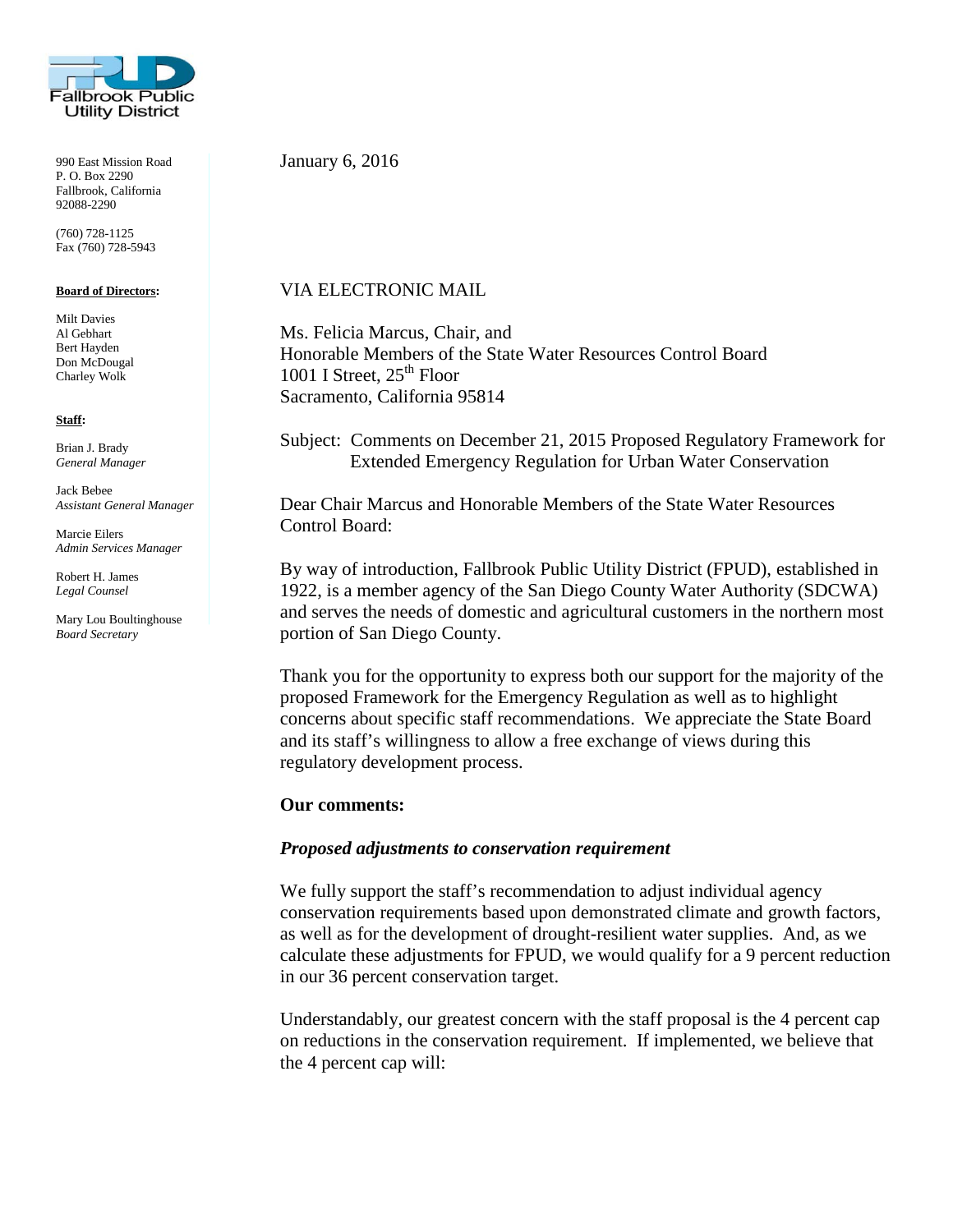

990 East Mission Road P. O. Box 2290 Fallbrook, California 92088-2290

(760) 728-1125 Fax (760) 728-5943

#### **Board of Directors:**

Milt Davies Al Gebhart Bert Hayden Don McDougal Charley Wolk

#### **Staff:**

Brian J. Brady *General Manager*

Jack Bebee *Assistant General Manager*

Marcie Eilers *Admin Services Manager*

Robert H. James *Legal Counsel*

Mary Lou Boultinghouse *Board Secretary*

January 6, 2016

## VIA ELECTRONIC MAIL

Ms. Felicia Marcus, Chair, and Honorable Members of the State Water Resources Control Board 1001 I Street,  $25<sup>th</sup>$  Floor Sacramento, California 95814

Subject: Comments on December 21, 2015 Proposed Regulatory Framework for Extended Emergency Regulation for Urban Water Conservation

Dear Chair Marcus and Honorable Members of the State Water Resources Control Board:

By way of introduction, Fallbrook Public Utility District (FPUD), established in 1922, is a member agency of the San Diego County Water Authority (SDCWA) and serves the needs of domestic and agricultural customers in the northern most portion of San Diego County.

Thank you for the opportunity to express both our support for the majority of the proposed Framework for the Emergency Regulation as well as to highlight concerns about specific staff recommendations. We appreciate the State Board and its staff's willingness to allow a free exchange of views during this regulatory development process.

### **Our comments:**

### *Proposed adjustments to conservation requirement*

We fully support the staff's recommendation to adjust individual agency conservation requirements based upon demonstrated climate and growth factors, as well as for the development of drought-resilient water supplies. And, as we calculate these adjustments for FPUD, we would qualify for a 9 percent reduction in our 36 percent conservation target.

Understandably, our greatest concern with the staff proposal is the 4 percent cap on reductions in the conservation requirement. If implemented, we believe that the 4 percent cap will: